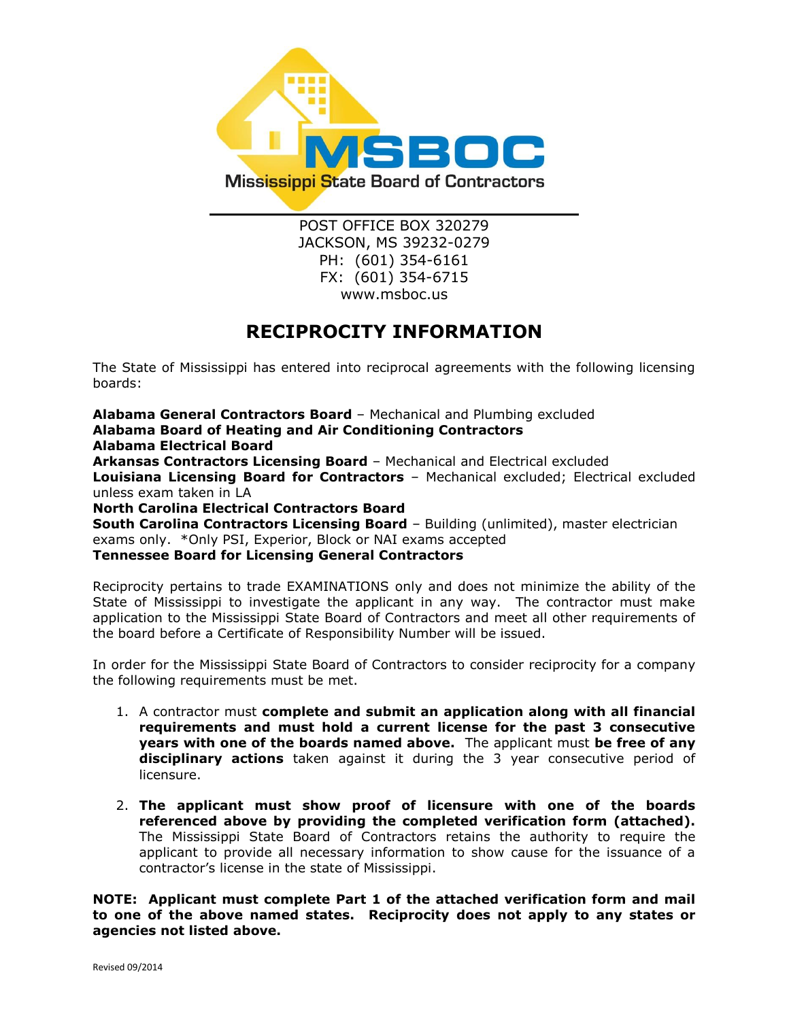

POST OFFICE BOX 320279 JACKSON, MS 39232-0279 PH: (601) 354-6161 FX: (601) 354-6715 www.msboc.us

## **RECIPROCITY INFORMATION**

The State of Mississippi has entered into reciprocal agreements with the following licensing boards:

**Alabama General Contractors Board** – Mechanical and Plumbing excluded **Alabama Board of Heating and Air Conditioning Contractors Alabama Electrical Board Arkansas Contractors Licensing Board** – Mechanical and Electrical excluded **Louisiana Licensing Board for Contractors** – Mechanical excluded; Electrical excluded unless exam taken in LA **North Carolina Electrical Contractors Board South Carolina Contractors Licensing Board** - Building (unlimited), master electrician exams only. \*Only PSI, Experior, Block or NAI exams accepted **Tennessee Board for Licensing General Contractors**

Reciprocity pertains to trade EXAMINATIONS only and does not minimize the ability of the State of Mississippi to investigate the applicant in any way. The contractor must make application to the Mississippi State Board of Contractors and meet all other requirements of

the board before a Certificate of Responsibility Number will be issued.

In order for the Mississippi State Board of Contractors to consider reciprocity for a company the following requirements must be met.

- 1. A contractor must **complete and submit an application along with all financial requirements and must hold a current license for the past 3 consecutive years with one of the boards named above.** The applicant must **be free of any disciplinary actions** taken against it during the 3 year consecutive period of licensure.
- 2. **The applicant must show proof of licensure with one of the boards referenced above by providing the completed verification form (attached).** The Mississippi State Board of Contractors retains the authority to require the applicant to provide all necessary information to show cause for the issuance of a contractor's license in the state of Mississippi.

**NOTE: Applicant must complete Part 1 of the attached verification form and mail to one of the above named states. Reciprocity does not apply to any states or agencies not listed above.**